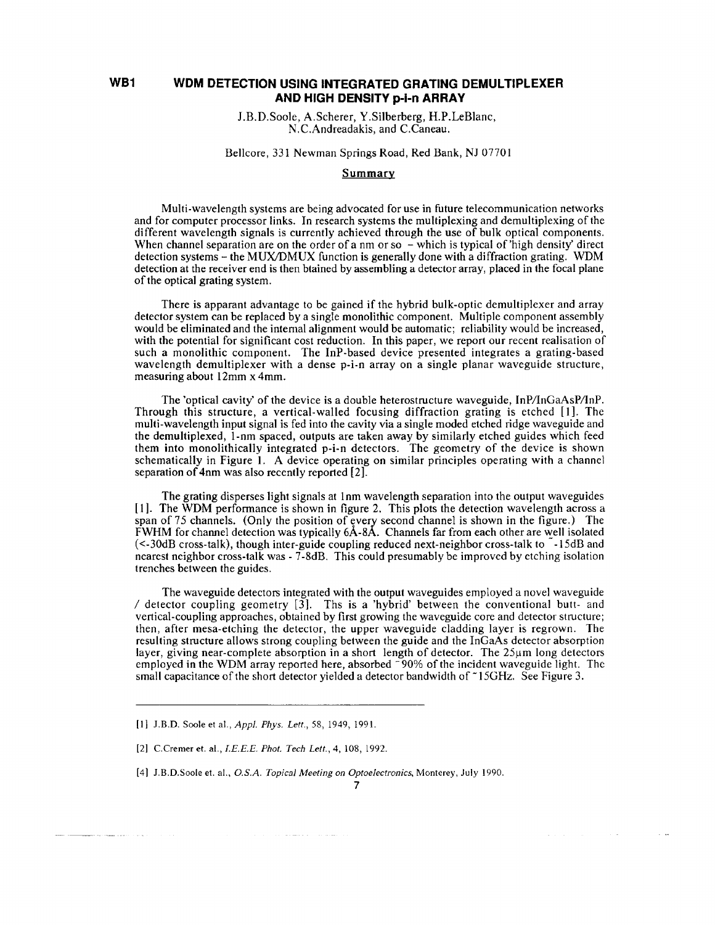## **WB1 WDM DETECTION USING INTEGRATED GRATING DEMULTIPLEXER AND HIGH DENSITY p-1-n ARRAY**

J.B.D.Soole, A.Scherer, Y.Silberberg, H.P.LeBlanc, N.C.Andreadakis, and C.Caneau.

## Bellcore, 331 Newman Springs Road, Red Bank, NJ 07701

## **Summary**

Multi-wavelength systems are being advocated for use in future telecommunication networks and for computer processor links. In research systems the multiplexing and demultiplexing of the different wavelength signals is currently achieved through the use of bulk optical components. When channel separation are on the order of a nm or so  $-\overline{}$  which is typical of 'high density' direct detection systems - the MUX/DMUX function is generally done with a diffraction grating. WDM detection at the receiver end is then btained by assembling a detector array, placed in the focal plane of the optical grating system.

There is apparant advantage to be gained if the hybrid bulk-optic demultiplexer and array detector system can be replaced by a single monolithic component. Multiple component assembly would be eliminated and the internal alignment would be automatic; reliability would be increased, with the potential for significant cost reduction. In this paper, we report our recent realisation of such a monolithic component. The InP-based device presented integrates a grating-based wavelength demultiplexer with a dense p-i-n array on a single planar waveguide structure, measuring about 12mm x 4mm.

The 'optical cavity' of the device is a double heterostructure waveguide, InP/InGaAsP/InP. Through this structure, a vertical-walled focusing diffraction grating is etched [1]. The multi-wavelength input signal is fed into the cavity via a single moded etched ridge waveguide and the demultiplexed, 1-nm spaced, outputs are taken away by similarly etched guides which feed them into monolithically integrated p-i-n detectors. The geometry of the device is shown schematically in Figure 1. A device operating on similar principles operating with a channel separation of 4nm was also recently reported [2].

The grating disperses light signals at 1nm wavelength separation into the output waveguides [ 1]. The WDM performance is shown in figure 2. This plots the detection wavelength across a span of 75 channels. (Only the position of every second channel is shown in the figure.) The FWHM for channel detection was typically 6A-8A. Channels far from each other are well isolated  $\leq$  30dB cross-talk), though inter-guide coupling reduced next-neighbor cross-talk to  $\sim$  15dB and nearest neighbor cross-talk was - 7-8dB. This could presumably be improved by etching isolation trenches between the guides.

The waveguide detectors integrated with the output waveguides employed a novel waveguide / detector coupling geometry  $\begin{bmatrix} 3 \end{bmatrix}$ . Ths is a 'hybrid' between the conventional butt- and vertical-coupling approaches, obtained by first growing the waveguide core and detector structure; then, after mesa-etching the detector, the upper waveguide cladding layer is regrown. The resulting structure allows strong coupling between the guide and the InGaAs detector absorption layer, giving near-complete absorption in a short length of detector. The 25µm long detectors employed in the WDM array reported here, absorbed ~90% of the incident waveguide light. The small capacitance of the short detector yielded a detector bandwidth of  $\tilde{\phantom{a}}$  15GHz. See Figure 3.

 $\mathcal{A}$  , and the second mass of  $\mathcal{A}$  , and the mass

 $\sim 100$ 

 $\sim$   $\sim$ 

<sup>[</sup>l] J.B.D. Soole et al., *Appl. Phys. Lett.,* 58, 1949, 1991.

<sup>[2)</sup> C.Cremer et. al., *l.E.E.E. Phot. Tech Lett.,* 4, 108, 1992.

<sup>[4)</sup> J.B.D.Soole et. al., *O.S.A. Topical Meeting on Optoelectronics,* Monterey, July 1990.